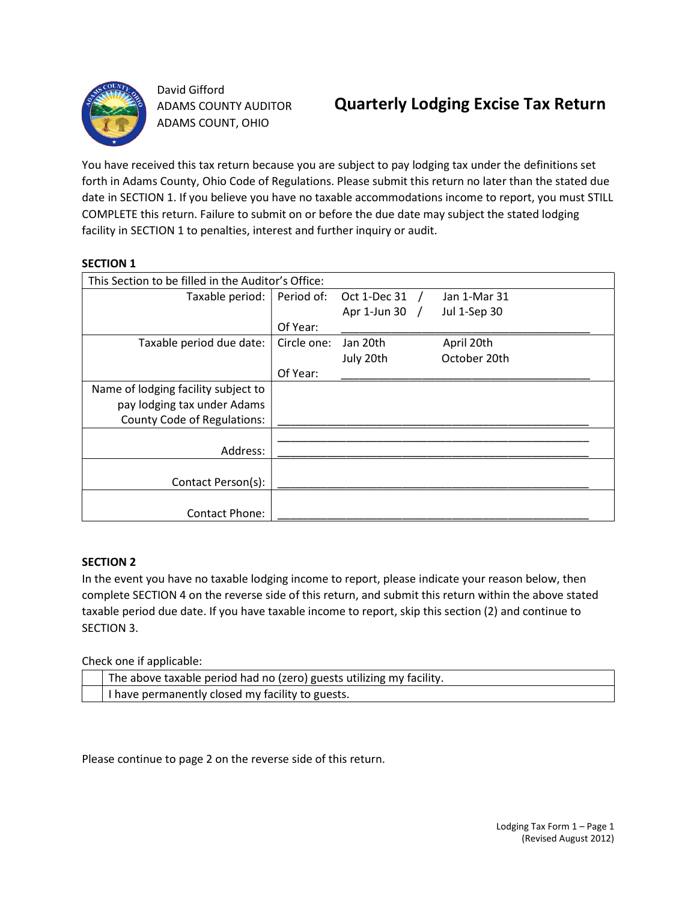

David Gifford ADAMS COUNTY AUDITOR ADAMS COUNT, OHIO

You have received this tax return because you are subject to pay lodging tax under the definitions set forth in Adams County, Ohio Code of Regulations. Please submit this return no later than the stated due date in SECTION 1. If you believe you have no taxable accommodations income to report, you must STILL COMPLETE this return. Failure to submit on or before the due date may subject the stated lodging facility in SECTION 1 to penalties, interest and further inquiry or audit.

# SECTION 1

| This Section to be filled in the Auditor's Office: |             |                |              |  |  |
|----------------------------------------------------|-------------|----------------|--------------|--|--|
| Taxable period:                                    | Period of:  | Oct 1-Dec 31   | Jan 1-Mar 31 |  |  |
|                                                    |             | Apr 1-Jun 30 / | Jul 1-Sep 30 |  |  |
|                                                    | Of Year:    |                |              |  |  |
| Taxable period due date:                           | Circle one: | Jan 20th       | April 20th   |  |  |
|                                                    |             | July 20th      | October 20th |  |  |
|                                                    | Of Year:    |                |              |  |  |
| Name of lodging facility subject to                |             |                |              |  |  |
| pay lodging tax under Adams                        |             |                |              |  |  |
| <b>County Code of Regulations:</b>                 |             |                |              |  |  |
|                                                    |             |                |              |  |  |
| Address:                                           |             |                |              |  |  |
|                                                    |             |                |              |  |  |
| Contact Person(s):                                 |             |                |              |  |  |
|                                                    |             |                |              |  |  |
| <b>Contact Phone:</b>                              |             |                |              |  |  |

# SECTION 2

In the event you have no taxable lodging income to report, please indicate your reason below, then complete SECTION 4 on the reverse side of this return, and submit this return within the above stated taxable period due date. If you have taxable income to report, skip this section (2) and continue to SECTION 3.

Check one if applicable:

| The above taxable period had no (zero) guests utilizing my facility. |
|----------------------------------------------------------------------|
| I have permanently closed my facility to guests.                     |

Please continue to page 2 on the reverse side of this return.